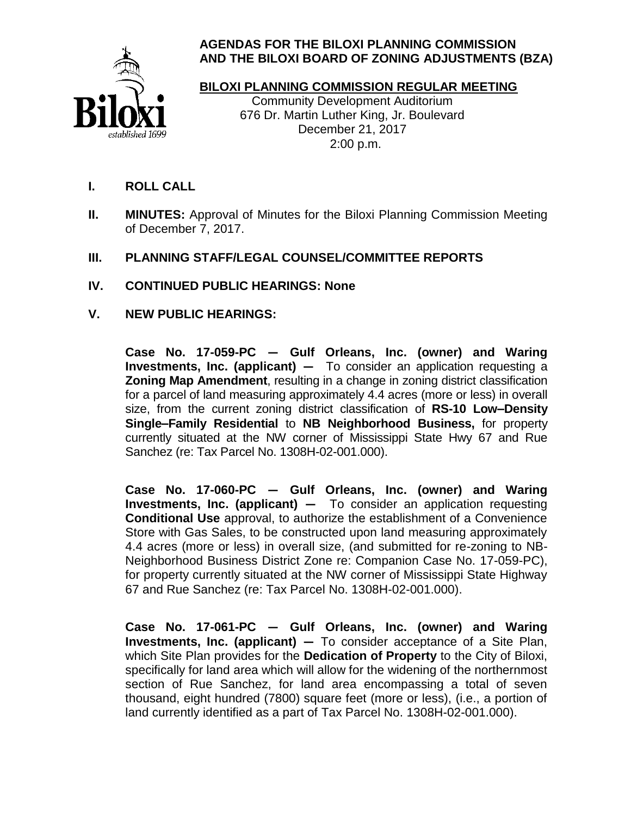

## **AGENDAS FOR THE BILOXI PLANNING COMMISSION AND THE BILOXI BOARD OF ZONING ADJUSTMENTS (BZA)**

# **BILOXI PLANNING COMMISSION REGULAR MEETING**

 Community Development Auditorium 676 Dr. Martin Luther King, Jr. Boulevard December 21, 2017 2:00 p.m.

- **I. ROLL CALL**
- **II. MINUTES:** Approval of Minutes for the Biloxi Planning Commission Meeting of December 7, 2017.
- **III. PLANNING STAFF/LEGAL COUNSEL/COMMITTEE REPORTS**
- **IV. CONTINUED PUBLIC HEARINGS: None**
- **V. NEW PUBLIC HEARINGS:**

**Case No. 17-059-PC — Gulf Orleans, Inc. (owner) and Waring Investments, Inc. (applicant) —** To consider an application requesting a **Zoning Map Amendment**, resulting in a change in zoning district classification for a parcel of land measuring approximately 4.4 acres (more or less) in overall size, from the current zoning district classification of **RS-10 Low–Density Single–Family Residential** to **NB Neighborhood Business,** for property currently situated at the NW corner of Mississippi State Hwy 67 and Rue Sanchez (re: Tax Parcel No. 1308H-02-001.000).

**Case No. 17-060-PC — Gulf Orleans, Inc. (owner) and Waring Investments, Inc. (applicant) —** To consider an application requesting **Conditional Use** approval, to authorize the establishment of a Convenience Store with Gas Sales, to be constructed upon land measuring approximately 4.4 acres (more or less) in overall size, (and submitted for re-zoning to NB-Neighborhood Business District Zone re: Companion Case No. 17-059-PC), for property currently situated at the NW corner of Mississippi State Highway 67 and Rue Sanchez (re: Tax Parcel No. 1308H-02-001.000).

**Case No. 17-061-PC — Gulf Orleans, Inc. (owner) and Waring Investments, Inc. (applicant) —** To consider acceptance of a Site Plan, which Site Plan provides for the **Dedication of Property** to the City of Biloxi, specifically for land area which will allow for the widening of the northernmost section of Rue Sanchez, for land area encompassing a total of seven thousand, eight hundred (7800) square feet (more or less), (i.e., a portion of land currently identified as a part of Tax Parcel No. 1308H-02-001.000).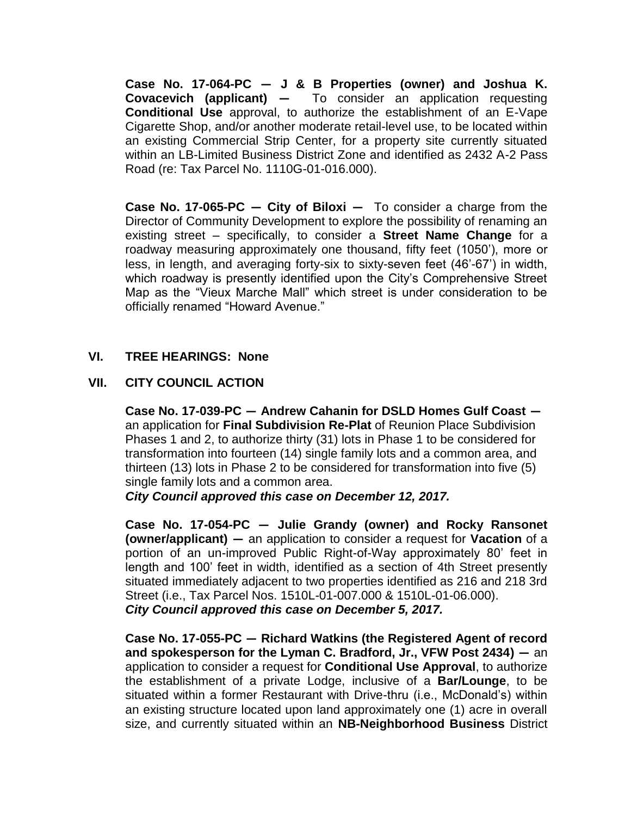**Case No. 17-064-PC — J & B Properties (owner) and Joshua K. Covacevich (applicant) —** To consider an application requesting **Conditional Use** approval, to authorize the establishment of an E-Vape Cigarette Shop, and/or another moderate retail-level use, to be located within an existing Commercial Strip Center, for a property site currently situated within an LB-Limited Business District Zone and identified as 2432 A-2 Pass Road (re: Tax Parcel No. 1110G-01-016.000).

**Case No. 17-065-PC — City of Biloxi —** To consider a charge from the Director of Community Development to explore the possibility of renaming an existing street – specifically, to consider a **Street Name Change** for a roadway measuring approximately one thousand, fifty feet (1050'), more or less, in length, and averaging forty-six to sixty-seven feet (46'-67') in width, which roadway is presently identified upon the City's Comprehensive Street Map as the "Vieux Marche Mall" which street is under consideration to be officially renamed "Howard Avenue."

#### **VI. TREE HEARINGS: None**

#### **VII. CITY COUNCIL ACTION**

**Case No. 17-039-PC — Andrew Cahanin for DSLD Homes Gulf Coast**  an application for **Final Subdivision Re-Plat** of Reunion Place Subdivision Phases 1 and 2, to authorize thirty (31) lots in Phase 1 to be considered for transformation into fourteen (14) single family lots and a common area, and thirteen (13) lots in Phase 2 to be considered for transformation into five (5) single family lots and a common area.

*City Council approved this case on December 12, 2017.*

**Case No. 17-054-PC — Julie Grandy (owner) and Rocky Ransonet (owner/applicant) —** an application to consider a request for **Vacation** of a portion of an un-improved Public Right-of-Way approximately 80' feet in length and 100' feet in width, identified as a section of 4th Street presently situated immediately adjacent to two properties identified as 216 and 218 3rd Street (i.e., Tax Parcel Nos. 1510L-01-007.000 & 1510L-01-06.000). *City Council approved this case on December 5, 2017.*

**Case No. 17-055-PC — Richard Watkins (the Registered Agent of record and spokesperson for the Lyman C. Bradford, Jr., VFW Post 2434) —** an application to consider a request for **Conditional Use Approval**, to authorize the establishment of a private Lodge, inclusive of a **Bar/Lounge**, to be situated within a former Restaurant with Drive-thru (i.e., McDonald's) within an existing structure located upon land approximately one (1) acre in overall size, and currently situated within an **NB-Neighborhood Business** District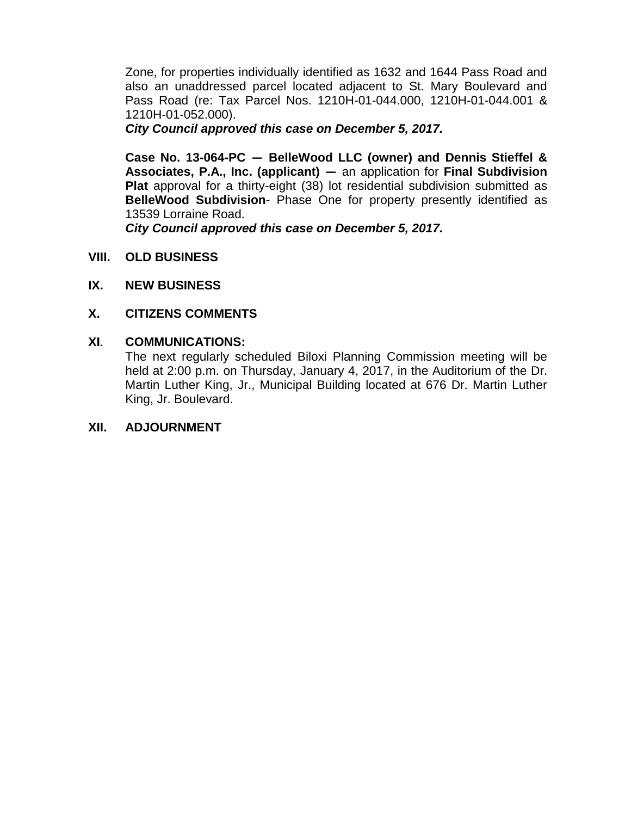Zone, for properties individually identified as 1632 and 1644 Pass Road and also an unaddressed parcel located adjacent to St. Mary Boulevard and Pass Road (re: Tax Parcel Nos. 1210H-01-044.000, 1210H-01-044.001 & 1210H-01-052.000).

*City Council approved this case on December 5, 2017.*

**Case No. 13-064-PC — BelleWood LLC (owner) and Dennis Stieffel & Associates, P.A., Inc. (applicant) —** an application for **Final Subdivision Plat** approval for a thirty-eight (38) lot residential subdivision submitted as **BelleWood Subdivision**- Phase One for property presently identified as 13539 Lorraine Road.

*City Council approved this case on December 5, 2017.*

- **VIII. OLD BUSINESS**
- **IX. NEW BUSINESS**

## **X. CITIZENS COMMENTS**

#### **XI***.* **COMMUNICATIONS:**

The next regularly scheduled Biloxi Planning Commission meeting will be held at 2:00 p.m. on Thursday, January 4, 2017, in the Auditorium of the Dr. Martin Luther King, Jr., Municipal Building located at 676 Dr. Martin Luther King, Jr. Boulevard.

#### **XII. ADJOURNMENT**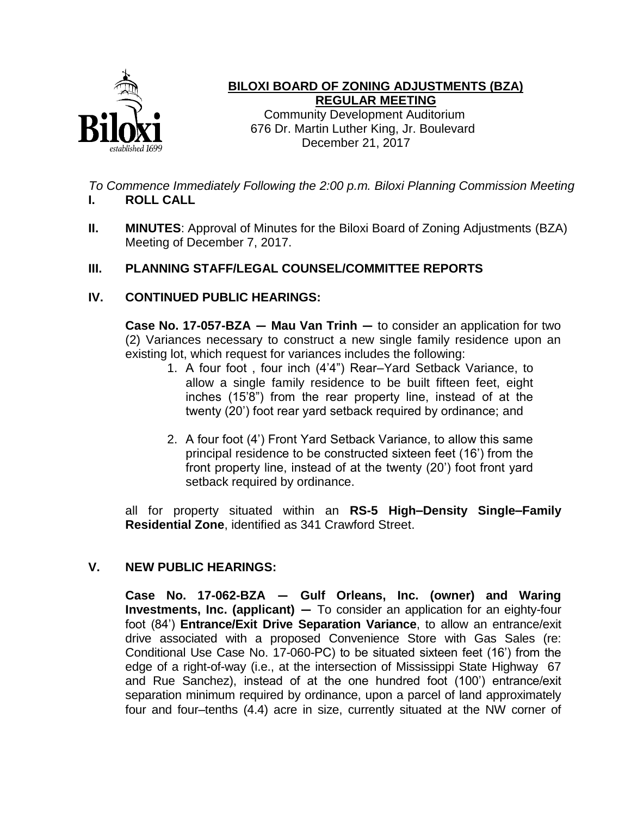

## **BILOXI BOARD OF ZONING ADJUSTMENTS (BZA) REGULAR MEETING**

 Community Development Auditorium 676 Dr. Martin Luther King, Jr. Boulevard December 21, 2017

*To Commence Immediately Following the 2:00 p.m. Biloxi Planning Commission Meeting* **I. ROLL CALL**

**II. MINUTES**: Approval of Minutes for the Biloxi Board of Zoning Adjustments (BZA) Meeting of December 7, 2017.

## **III. PLANNING STAFF/LEGAL COUNSEL/COMMITTEE REPORTS**

## **IV. CONTINUED PUBLIC HEARINGS:**

**Case No. 17-057-BZA — Mau Van Trinh —** to consider an application for two (2) Variances necessary to construct a new single family residence upon an existing lot, which request for variances includes the following:

- 1. A four foot , four inch (4'4") Rear–Yard Setback Variance, to allow a single family residence to be built fifteen feet, eight inches (15'8") from the rear property line, instead of at the twenty (20') foot rear yard setback required by ordinance; and
- 2. A four foot (4') Front Yard Setback Variance, to allow this same principal residence to be constructed sixteen feet (16') from the front property line, instead of at the twenty (20') foot front yard setback required by ordinance.

all for property situated within an **RS-5 High–Density Single–Family Residential Zone**, identified as 341 Crawford Street.

## **V. NEW PUBLIC HEARINGS:**

**Case No. 17-062-BZA — Gulf Orleans, Inc. (owner) and Waring Investments, Inc. (applicant) —** To consider an application for an eighty-four foot (84') **Entrance/Exit Drive Separation Variance**, to allow an entrance/exit drive associated with a proposed Convenience Store with Gas Sales (re: Conditional Use Case No. 17-060-PC) to be situated sixteen feet (16') from the edge of a right-of-way (i.e., at the intersection of Mississippi State Highway 67 and Rue Sanchez), instead of at the one hundred foot (100') entrance/exit separation minimum required by ordinance, upon a parcel of land approximately four and four–tenths (4.4) acre in size, currently situated at the NW corner of